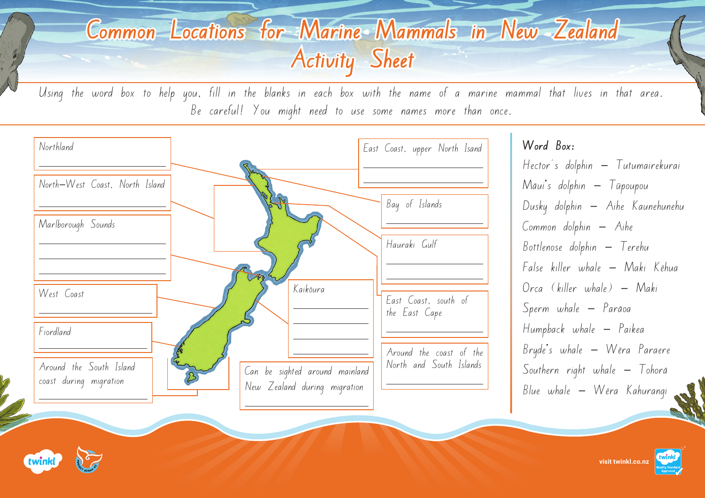## **Common Locations for Marine Mammals in New Zealand Activity Sheet**

Using the word box to help you, fill in the blanks in each box with the name of a marine mammal that lives in that area. Be careful! You might need to use some names more than once.



**Word Box:**

Hector's dolphin - Tutumairekurai  $M\bar{a}ui's$  dolphin  $-$  Tupoupou Dusky dolphin - Aihe Kaunehunehu  $Common$  dolphin  $-$  Aihe  $B$ ottlenose dolphin  $-$  Terehu False killer whale — Maki Kēhua  $O$ rca (killer whale)  $-$  Maki Sperm whale - Parāoa Humpback whale - Paikea Bryde's whale - Wēra Paraere Southern right whale  $-$  Tohorā  $Blue$  whale  $-$  Wēra Kahurangi



**[visit twinkl.co.nz](https://www.twinkl.co.nz/resources/new-zealand-resources/new-zealand-partnerships/project-jonah-partnerships-new-zealand)**